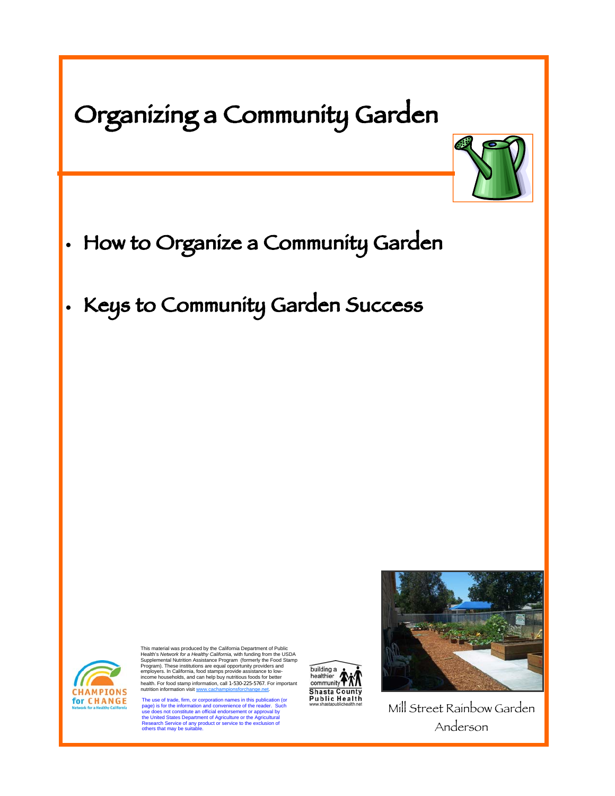| Organizing a Community Garden                                                                                                                                                                                                                                                                                                                                                                                                                                                                                                                                                                                                                                                                                                                                                                                                                                                                                                                                                                                               |                                                                                                                                                                             |
|-----------------------------------------------------------------------------------------------------------------------------------------------------------------------------------------------------------------------------------------------------------------------------------------------------------------------------------------------------------------------------------------------------------------------------------------------------------------------------------------------------------------------------------------------------------------------------------------------------------------------------------------------------------------------------------------------------------------------------------------------------------------------------------------------------------------------------------------------------------------------------------------------------------------------------------------------------------------------------------------------------------------------------|-----------------------------------------------------------------------------------------------------------------------------------------------------------------------------|
| How to Organize a Community Garden<br>· Keys to Community Garden Success                                                                                                                                                                                                                                                                                                                                                                                                                                                                                                                                                                                                                                                                                                                                                                                                                                                                                                                                                    |                                                                                                                                                                             |
|                                                                                                                                                                                                                                                                                                                                                                                                                                                                                                                                                                                                                                                                                                                                                                                                                                                                                                                                                                                                                             |                                                                                                                                                                             |
| This material was produced by the California Department of Public<br>Health's Network for a Healthy California, with funding from the USDA<br>Supplemental Nutrition Assistance Program (formerly the Food Stamp<br>Program). These institutions are equal opportunity providers and<br>employers. In California, food stamps provide assistance to low-<br>income households, and can help buy nutritious foods for better<br>health. For food stamp information, call 1-530-225-5767. For important<br>nutrition information visit www.cachampionsforchange.net.<br><b>CHAMPIONS</b><br>for CHANGE<br>The use of trade, firm, or corporation names in this publication (or<br>page) is for the information and convenience of the reader. Such<br>Network for a Healthy California<br>use does not constitute an official endorsement or approval by<br>the United States Department of Agriculture or the Agricultural<br>Research Service of any product or service to the exclusion of<br>others that may be suitable. | building a<br>healthier /<br>community <sup>-</sup><br><b>Shasta County</b><br><b>Public Health</b><br>www.shastapublichealth.net<br>Mill Street Rainbow Garden<br>Anderson |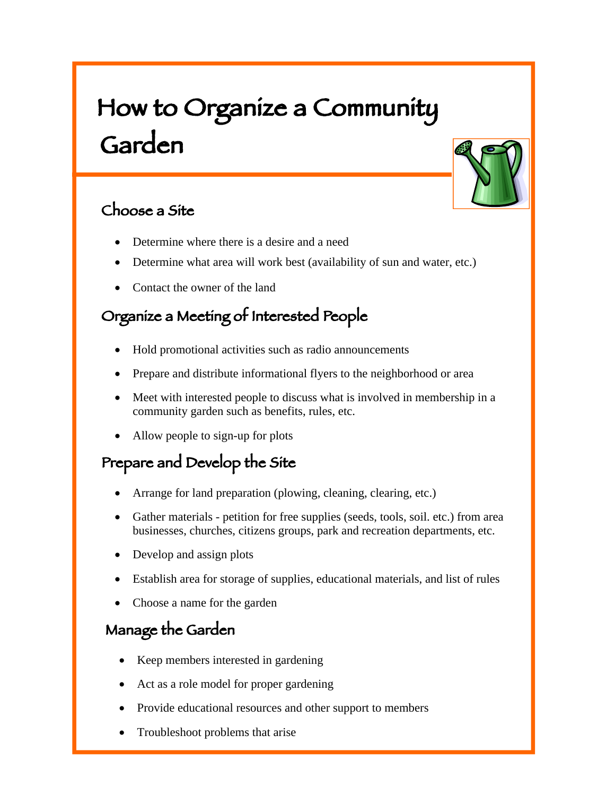# How to Organize a Community Garden

#### Choose a Site

- Determine where there is a desire and a need
- Determine what area will work best (availability of sun and water, etc.)
- Contact the owner of the land

# Organize a Meeting of Interested People

- Hold promotional activities such as radio announcements
- Prepare and distribute informational flyers to the neighborhood or area
- Meet with interested people to discuss what is involved in membership in a community garden such as benefits, rules, etc.
- Allow people to sign-up for plots

# Prepare and Develop the Site

- Arrange for land preparation (plowing, cleaning, clearing, etc.)
- Gather materials petition for free supplies (seeds, tools, soil. etc.) from area businesses, churches, citizens groups, park and recreation departments, etc.
- Develop and assign plots
- Establish area for storage of supplies, educational materials, and list of rules
- Choose a name for the garden

#### Manage the Garden

- Keep members interested in gardening
- Act as a role model for proper gardening
- Provide educational resources and other support to members
- Troubleshoot problems that arise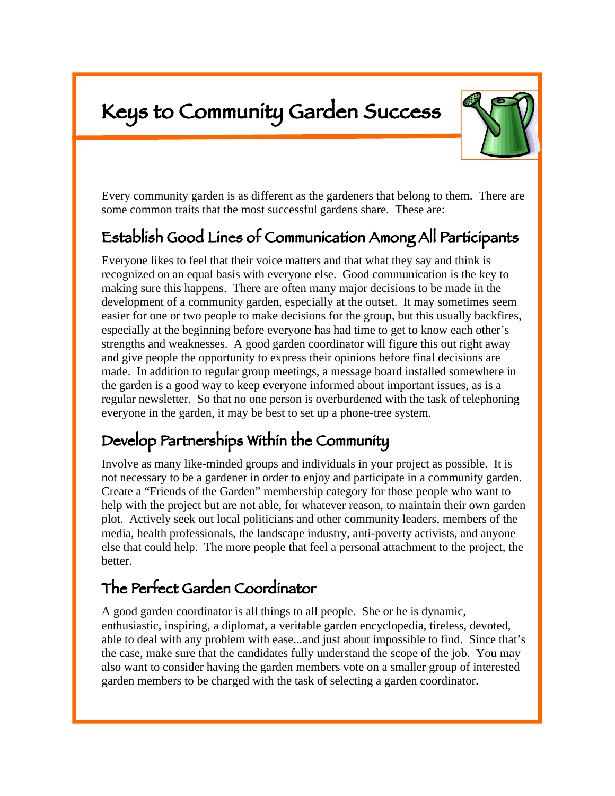# Keys to Community Garden Success

I



Every community garden is as different as the gardeners that belong to them. There are some common traits that the most successful gardens share. These are:

# Establish Good Lines of Communication Among All Participants

Everyone likes to feel that their voice matters and that what they say and think is recognized on an equal basis with everyone else. Good communication is the key to making sure this happens. There are often many major decisions to be made in the development of a community garden, especially at the outset. It may sometimes seem easier for one or two people to make decisions for the group, but this usually backfires, especially at the beginning before everyone has had time to get to know each other's strengths and weaknesses. A good garden coordinator will figure this out right away and give people the opportunity to express their opinions before final decisions are made. In addition to regular group meetings, a message board installed somewhere in the garden is a good way to keep everyone informed about important issues, as is a regular newsletter. So that no one person is overburdened with the task of telephoning everyone in the garden, it may be best to set up a phone-tree system.

#### Develop Partnerships Within the Community

Involve as many like-minded groups and individuals in your project as possible. It is not necessary to be a gardener in order to enjoy and participate in a community garden. Create a "Friends of the Garden" membership category for those people who want to help with the project but are not able, for whatever reason, to maintain their own garden plot. Actively seek out local politicians and other community leaders, members of the media, health professionals, the landscape industry, anti-poverty activists, and anyone else that could help. The more people that feel a personal attachment to the project, the better.

#### The Perfect Garden Coordinator

A good garden coordinator is all things to all people. She or he is dynamic, enthusiastic, inspiring, a diplomat, a veritable garden encyclopedia, tireless, devoted, able to deal with any problem with ease...and just about impossible to find. Since that's the case, make sure that the candidates fully understand the scope of the job. You may also want to consider having the garden members vote on a smaller group of interested garden members to be charged with the task of selecting a garden coordinator.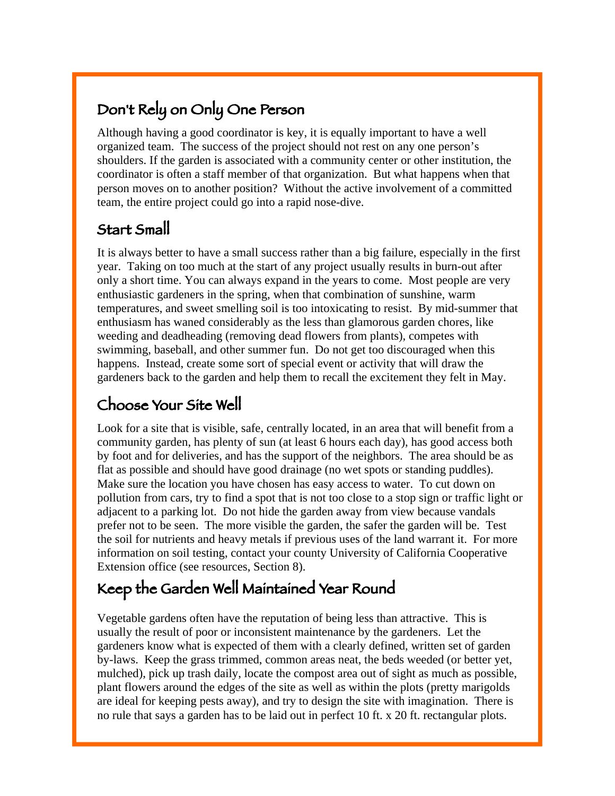# Don't Rely on Only One Person

Although having a good coordinator is key, it is equally important to have a well organized team. The success of the project should not rest on any one person's shoulders. If the garden is associated with a community center or other institution, the coordinator is often a staff member of that organization. But what happens when that person moves on to another position? Without the active involvement of a committed team, the entire project could go into a rapid nose-dive.

# Start Small

It is always better to have a small success rather than a big failure, especially in the first year. Taking on too much at the start of any project usually results in burn-out after only a short time. You can always expand in the years to come. Most people are very enthusiastic gardeners in the spring, when that combination of sunshine, warm temperatures, and sweet smelling soil is too intoxicating to resist. By mid-summer that enthusiasm has waned considerably as the less than glamorous garden chores, like weeding and deadheading (removing dead flowers from plants), competes with swimming, baseball, and other summer fun. Do not get too discouraged when this happens. Instead, create some sort of special event or activity that will draw the gardeners back to the garden and help them to recall the excitement they felt in May.

# Choose Your Site Well

Look for a site that is visible, safe, centrally located, in an area that will benefit from a community garden, has plenty of sun (at least 6 hours each day), has good access both by foot and for deliveries, and has the support of the neighbors. The area should be as flat as possible and should have good drainage (no wet spots or standing puddles). Make sure the location you have chosen has easy access to water. To cut down on pollution from cars, try to find a spot that is not too close to a stop sign or traffic light or adjacent to a parking lot. Do not hide the garden away from view because vandals prefer not to be seen. The more visible the garden, the safer the garden will be. Test the soil for nutrients and heavy metals if previous uses of the land warrant it. For more information on soil testing, contact your county University of California Cooperative Extension office (see resources, Section 8).

# Keep the Garden Well Maintained Year Round

Vegetable gardens often have the reputation of being less than attractive. This is usually the result of poor or inconsistent maintenance by the gardeners. Let the gardeners know what is expected of them with a clearly defined, written set of garden by-laws. Keep the grass trimmed, common areas neat, the beds weeded (or better yet, mulched), pick up trash daily, locate the compost area out of sight as much as possible, plant flowers around the edges of the site as well as within the plots (pretty marigolds are ideal for keeping pests away), and try to design the site with imagination. There is no rule that says a garden has to be laid out in perfect 10 ft. x 20 ft. rectangular plots.